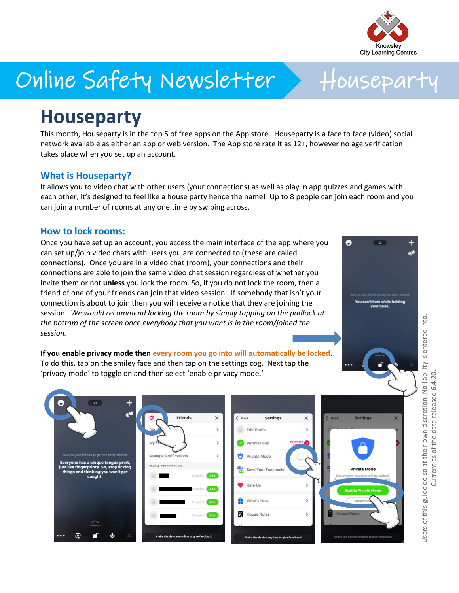

# Online Safety Newsletter > Houseparty

## **Houseparty**

This month, Houseparty is in the top 5 of free apps on the App store. Houseparty is a face to face (video) social network available as either an app or web version. The App store rate it as 12+, however no age verification takes place when you set up an account.

#### **What is Houseparty?**

It allows you to video chat with other users (your connections) as well as play in app quizzes and games with each other, it's designed to feel like a house party hence the name! Up to 8 people can join each room and you can join a number of rooms at any one time by swiping across.

#### **How to lock rooms:**

Once you have set up an account, you access the main interface of the app where you can set up/join video chats with users you are connected to (these are called connections). Once you are in a video chat (room), your connections and their connections are able to join the same video chat session regardless of whether you invite them or not **unless** you lock the room. So, if you do not lock the room, then a friend of one of your friends can join that video session. If somebody that isn't your connection is about to join then you will receive a notice that they are joining the session. *We would recommend locking the room by simply tapping on the padlock at the bottom of the screen once everybody that you want is in the room/joined the session.*



 $\overline{a}$ 

**If you enable privacy mode then every room you go into will automatically be locked**. To do this, tap on the smiley face and then tap on the settings cog. Next tap the 'privacy mode' to toggle on and then select 'enable privacy mode.'



Users of this guide do so at their own discretion. No liability is entered into. Current as of the date released 6.4.20.Users of this guide do so at their own discretion. No liability is entered into Current as of the date released 6.4.20.